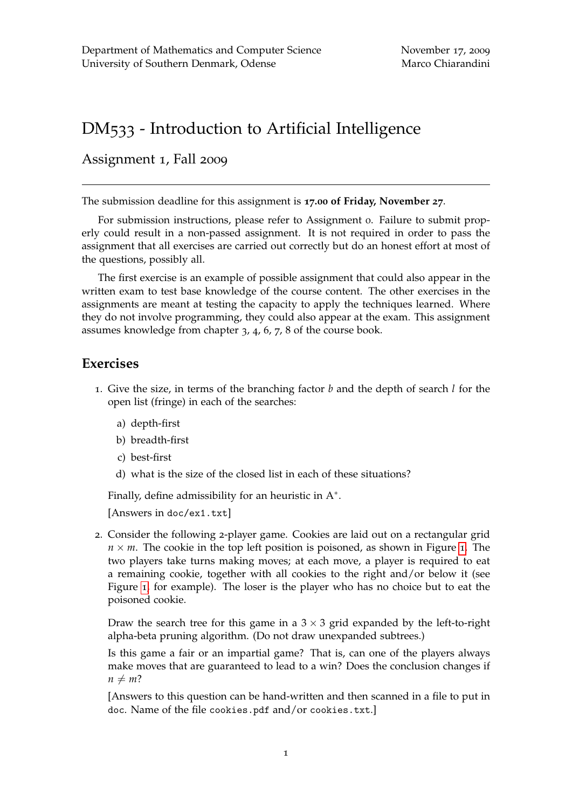## DM533 - Introduction to Artificial Intelligence

Assignment 1, Fall 2009

The submission deadline for this assignment is **17.00 of Friday, November 27**.

For submission instructions, please refer to Assignment 0. Failure to submit properly could result in a non-passed assignment. It is not required in order to pass the assignment that all exercises are carried out correctly but do an honest effort at most of the questions, possibly all.

The first exercise is an example of possible assignment that could also appear in the written exam to test base knowledge of the course content. The other exercises in the assignments are meant at testing the capacity to apply the techniques learned. Where they do not involve programming, they could also appear at the exam. This assignment assumes knowledge from chapter 3, 4, 6, 7, 8 of the course book.

## **Exercises**

- 1. Give the size, in terms of the branching factor *b* and the depth of search *l* for the open list (fringe) in each of the searches:
	- a) depth-first
	- b) breadth-first
	- c) best-first
	- d) what is the size of the closed list in each of these situations?

Finally, define admissibility for an heuristic in  $A^*$ .

[Answers in doc/ex1.txt]

2. Consider the following 2-player game. Cookies are laid out on a rectangular grid  $n \times m$ . The cookie in the top left position is poisoned, as shown in Figure [1](#page-1-0). The two players take turns making moves; at each move, a player is required to eat a remaining cookie, together with all cookies to the right and/or below it (see Figure [1](#page-1-0), for example). The loser is the player who has no choice but to eat the poisoned cookie.

Draw the search tree for this game in a  $3 \times 3$  grid expanded by the left-to-right alpha-beta pruning algorithm. (Do not draw unexpanded subtrees.)

Is this game a fair or an impartial game? That is, can one of the players always make moves that are guaranteed to lead to a win? Does the conclusion changes if  $n \neq m$ ?

[Answers to this question can be hand-written and then scanned in a file to put in doc. Name of the file cookies.pdf and/or cookies.txt.]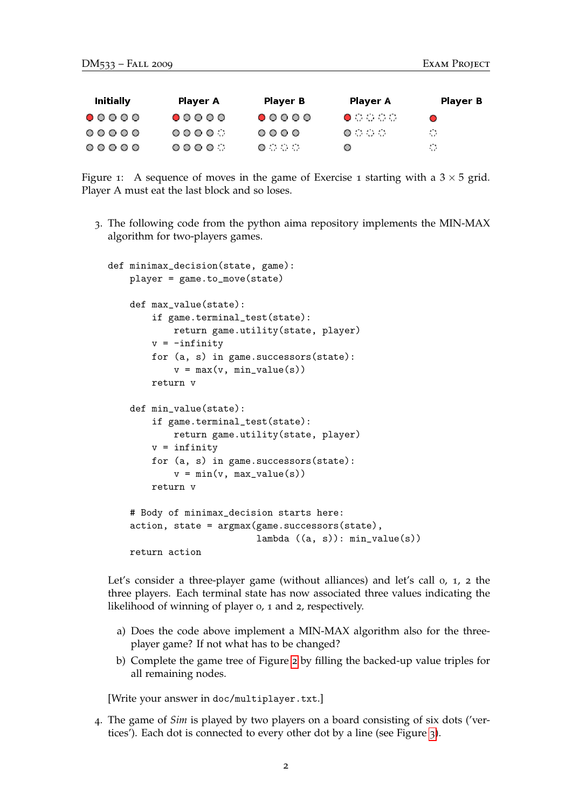| Initially | Player A | Player B                  | Player A          | Player B |
|-----------|----------|---------------------------|-------------------|----------|
| 00000     | 00000    | 00000                     | $\bullet$ 0 0 0 0 | ⌒        |
| 00000     | 0000     | $\circ \circ \circ \circ$ | .                 | 42.      |
| 00000     | ೧೧೧೧೧    | 0000                      | ◯                 | 40.      |

<span id="page-1-0"></span>Figure 1: A sequence of moves in the game of Exercise 1 starting with a  $3 \times 5$  grid. Player A must eat the last block and so loses.

3. The following code from the python aima repository implements the MIN-MAX algorithm for two-players games.

```
def minimax_decision(state, game):
player = game.to_move(state)
def max_value(state):
    if game.terminal_test(state):
        return game.utility(state, player)
    v = -\inf \text{inity}for (a, s) in game.successors(state):
        v = max(v, min_value(s))return v
def min_value(state):
    if game.terminal_test(state):
        return game.utility(state, player)
    v = infinity
    for (a, s) in game.successors(state):
        v = min(v, max_value(s))return v
# Body of minimax_decision starts here:
action, state = argmax(game.successors(state),
                        lambda ((a, s)): min_value(s))return action
```
Let's consider a three-player game (without alliances) and let's call 0, 1, 2 the three players. Each terminal state has now associated three values indicating the likelihood of winning of player 0, 1 and 2, respectively.

- a) Does the code above implement a MIN-MAX algorithm also for the threeplayer game? If not what has to be changed?
- b) Complete the game tree of Figure [2](#page-2-0) by filling the backed-up value triples for all remaining nodes.

[Write your answer in doc/multiplayer.txt.]

4. The game of *Sim* is played by two players on a board consisting of six dots ('vertices'). Each dot is connected to every other dot by a line (see Figure [3](#page-3-0)).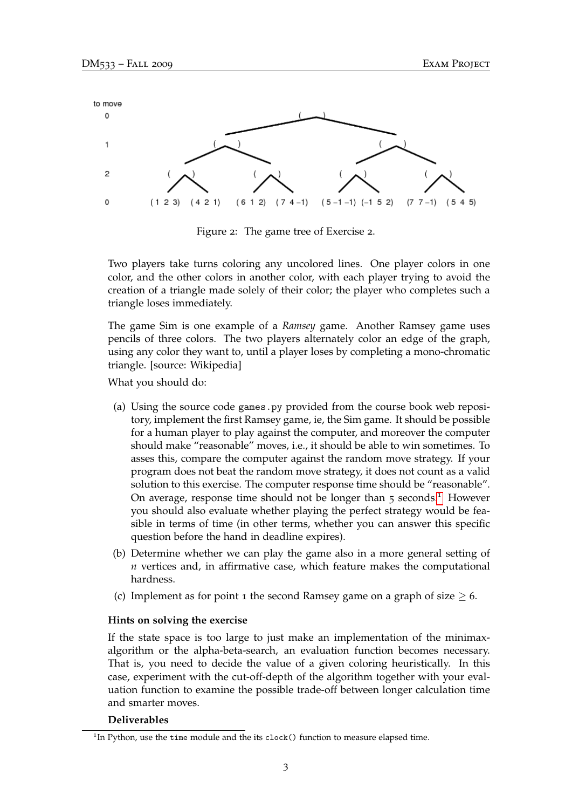

<span id="page-2-0"></span>Figure 2: The game tree of Exercise 2.

Two players take turns coloring any uncolored lines. One player colors in one color, and the other colors in another color, with each player trying to avoid the creation of a triangle made solely of their color; the player who completes such a triangle loses immediately.

The game Sim is one example of a *Ramsey* game. Another Ramsey game uses pencils of three colors. The two players alternately color an edge of the graph, using any color they want to, until a player loses by completing a mono-chromatic triangle. [source: Wikipedia]

What you should do:

- (a) Using the source code games.py provided from the course book web repository, implement the first Ramsey game, ie, the Sim game. It should be possible for a human player to play against the computer, and moreover the computer should make "reasonable" moves, i.e., it should be able to win sometimes. To asses this, compare the computer against the random move strategy. If your program does not beat the random move strategy, it does not count as a valid solution to this exercise. The computer response time should be "reasonable". On average, response time should not be longer than  $\overline{5}$  seconds.<sup>[1](#page-2-1)</sup> However you should also evaluate whether playing the perfect strategy would be feasible in terms of time (in other terms, whether you can answer this specific question before the hand in deadline expires).
- (b) Determine whether we can play the game also in a more general setting of *n* vertices and, in affirmative case, which feature makes the computational hardness.
- (c) Implement as for point 1 the second Ramsey game on a graph of size  $\geq$  6.

## **Hints on solving the exercise**

If the state space is too large to just make an implementation of the minimaxalgorithm or the alpha-beta-search, an evaluation function becomes necessary. That is, you need to decide the value of a given coloring heuristically. In this case, experiment with the cut-off-depth of the algorithm together with your evaluation function to examine the possible trade-off between longer calculation time and smarter moves.

## **Deliverables**

<span id="page-2-1"></span><sup>&</sup>lt;sup>1</sup>In Python, use the time module and the its clock() function to measure elapsed time.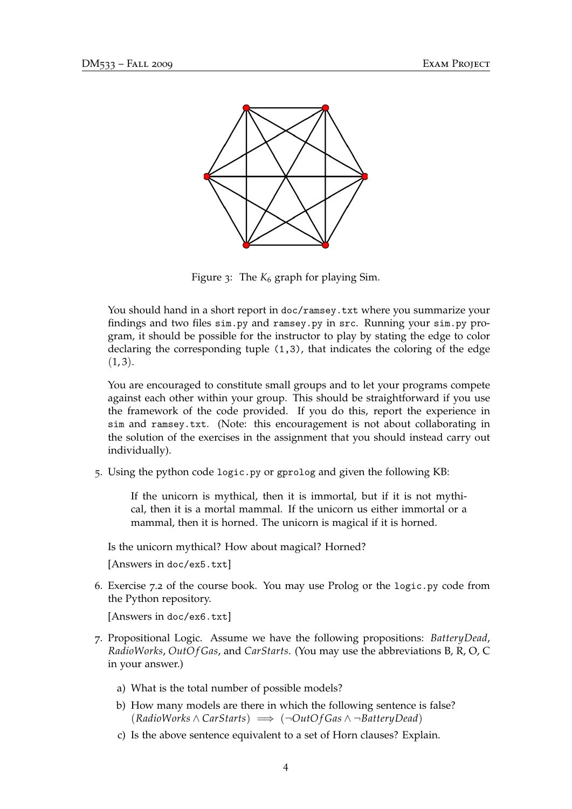

<span id="page-3-0"></span>Figure 3: The  $K_6$  graph for playing Sim.

You should hand in a short report in doc/ramsey.txt where you summarize your findings and two files sim.py and ramsey.py in src. Running your sim.py program, it should be possible for the instructor to play by stating the edge to color declaring the corresponding tuple (1,3), that indicates the coloring of the edge  $(1, 3).$ 

You are encouraged to constitute small groups and to let your programs compete against each other within your group. This should be straightforward if you use the framework of the code provided. If you do this, report the experience in sim and ramsey.txt. (Note: this encouragement is not about collaborating in the solution of the exercises in the assignment that you should instead carry out individually).

5. Using the python code logic.py or gprolog and given the following KB:

If the unicorn is mythical, then it is immortal, but if it is not mythical, then it is a mortal mammal. If the unicorn us either immortal or a mammal, then it is horned. The unicorn is magical if it is horned.

Is the unicorn mythical? How about magical? Horned?

[Answers in doc/ex5.txt]

6. Exercise 7.2 of the course book. You may use Prolog or the logic.py code from the Python repository.

[Answers in doc/ex6.txt]

- 7. Propositional Logic. Assume we have the following propositions: *BatteryDead*, *RadioWorks*, *OutO f Gas*, and *CarStarts*. (You may use the abbreviations B, R, O, C in your answer.)
	- a) What is the total number of possible models?
	- b) How many models are there in which the following sentence is false? (*RadioWorks* ∧ *CarStarts*) =⇒ (¬*OutO f Gas* ∧ ¬*BatteryDead*)
	- c) Is the above sentence equivalent to a set of Horn clauses? Explain.